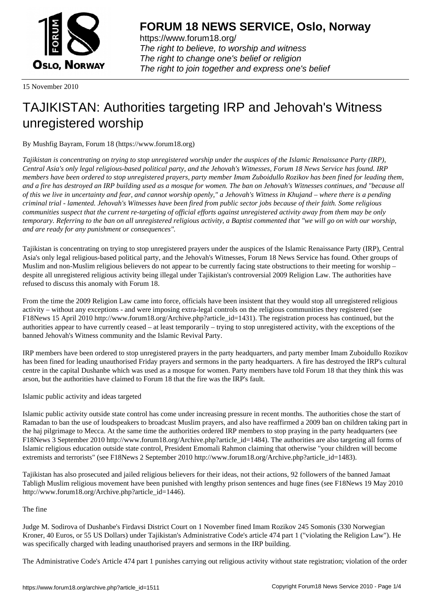

https://www.forum18.org/ The right to believe, to worship and witness The right to change one's belief or religion [The right to join together a](https://www.forum18.org/)nd express one's belief

15 November 2010

## [TAJIKISTAN: A](https://www.forum18.org)uthorities targeting IRP and Jehovah's Witness unregistered worship

By Mushfig Bayram, Forum 18 (https://www.forum18.org)

*Tajikistan is concentrating on trying to stop unregistered worship under the auspices of the Islamic Renaissance Party (IRP), Central Asia's only legal religious-based political party, and the Jehovah's Witnesses, Forum 18 News Service has found. IRP members have been ordered to stop unregistered prayers, party member Imam Zuboidullo Rozikov has been fined for leading them, and a fire has destroyed an IRP building used as a mosque for women. The ban on Jehovah's Witnesses continues, and "because all of this we live in uncertainty and fear, and cannot worship openly," a Jehovah's Witness in Khujand – where there is a pending criminal trial - lamented. Jehovah's Witnesses have been fired from public sector jobs because of their faith. Some religious communities suspect that the current re-targeting of official efforts against unregistered activity away from them may be only temporary. Referring to the ban on all unregistered religious activity, a Baptist commented that "we will go on with our worship, and are ready for any punishment or consequences".*

Tajikistan is concentrating on trying to stop unregistered prayers under the auspices of the Islamic Renaissance Party (IRP), Central Asia's only legal religious-based political party, and the Jehovah's Witnesses, Forum 18 News Service has found. Other groups of Muslim and non-Muslim religious believers do not appear to be currently facing state obstructions to their meeting for worship – despite all unregistered religious activity being illegal under Tajikistan's controversial 2009 Religion Law. The authorities have refused to discuss this anomaly with Forum 18.

From the time the 2009 Religion Law came into force, officials have been insistent that they would stop all unregistered religious activity – without any exceptions - and were imposing extra-legal controls on the religious communities they registered (see F18News 15 April 2010 http://www.forum18.org/Archive.php?article\_id=1431). The registration process has continued, but the authorities appear to have currently ceased – at least temporarily – trying to stop unregistered activity, with the exceptions of the banned Jehovah's Witness community and the Islamic Revival Party.

IRP members have been ordered to stop unregistered prayers in the party headquarters, and party member Imam Zuboidullo Rozikov has been fined for leading unauthorised Friday prayers and sermons in the party headquarters. A fire has destroyed the IRP's cultural centre in the capital Dushanbe which was used as a mosque for women. Party members have told Forum 18 that they think this was arson, but the authorities have claimed to Forum 18 that the fire was the IRP's fault.

Islamic public activity and ideas targeted

Islamic public activity outside state control has come under increasing pressure in recent months. The authorities chose the start of Ramadan to ban the use of loudspeakers to broadcast Muslim prayers, and also have reaffirmed a 2009 ban on children taking part in the haj pilgrimage to Mecca. At the same time the authorities ordered IRP members to stop praying in the party headquarters (see F18News 3 September 2010 http://www.forum18.org/Archive.php?article\_id=1484). The authorities are also targeting all forms of Islamic religious education outside state control, President Emomali Rahmon claiming that otherwise "your children will become extremists and terrorists" (see F18News 2 September 2010 http://www.forum18.org/Archive.php?article\_id=1483).

Tajikistan has also prosecuted and jailed religious believers for their ideas, not their actions, 92 followers of the banned Jamaat Tabligh Muslim religious movement have been punished with lengthy prison sentences and huge fines (see F18News 19 May 2010 http://www.forum18.org/Archive.php?article\_id=1446).

## The fine

Judge M. Sodirova of Dushanbe's Firdavsi District Court on 1 November fined Imam Rozikov 245 Somonis (330 Norwegian Kroner, 40 Euros, or 55 US Dollars) under Tajikistan's Administrative Code's article 474 part 1 ("violating the Religion Law"). He was specifically charged with leading unauthorised prayers and sermons in the IRP building.

The Administrative Code's Article 474 part 1 punishes carrying out religious activity without state registration; violation of the order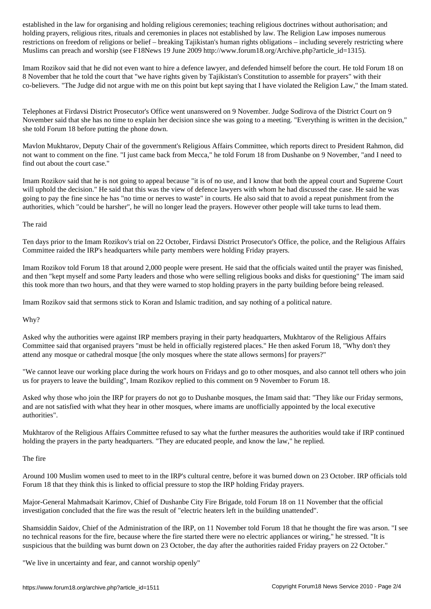holding prayers, religious rites, rituals and ceremonies in places not established by law. The Religion Law imposes numerous restrictions on freedom of religions or belief – breaking Tajikistan's human rights obligations – including severely restricting where Muslims can preach and worship (see F18News 19 June 2009 http://www.forum18.org/Archive.php?article\_id=1315).

Imam Rozikov said that he did not even want to hire a defence lawyer, and defended himself before the court. He told Forum 18 on 8 November that he told the court that "we have rights given by Tajikistan's Constitution to assemble for prayers" with their co-believers. "The Judge did not argue with me on this point but kept saying that I have violated the Religion Law," the Imam stated.

Telephones at Firdavsi District Prosecutor's Office went unanswered on 9 November. Judge Sodirova of the District Court on 9 November said that she has no time to explain her decision since she was going to a meeting. "Everything is written in the decision," she told Forum 18 before putting the phone down.

Mavlon Mukhtarov, Deputy Chair of the government's Religious Affairs Committee, which reports direct to President Rahmon, did not want to comment on the fine. "I just came back from Mecca," he told Forum 18 from Dushanbe on 9 November, "and I need to find out about the court case."

Imam Rozikov said that he is not going to appeal because "it is of no use, and I know that both the appeal court and Supreme Court will uphold the decision." He said that this was the view of defence lawyers with whom he had discussed the case. He said he was going to pay the fine since he has "no time or nerves to waste" in courts. He also said that to avoid a repeat punishment from the authorities, which "could be harsher", he will no longer lead the prayers. However other people will take turns to lead them.

## The raid

Ten days prior to the Imam Rozikov's trial on 22 October, Firdavsi District Prosecutor's Office, the police, and the Religious Affairs Committee raided the IRP's headquarters while party members were holding Friday prayers.

Imam Rozikov told Forum 18 that around 2,000 people were present. He said that the officials waited until the prayer was finished, and then "kept myself and some Party leaders and those who were selling religious books and disks for questioning" The imam said this took more than two hours, and that they were warned to stop holding prayers in the party building before being released.

Imam Rozikov said that sermons stick to Koran and Islamic tradition, and say nothing of a political nature.

Why?

Asked why the authorities were against IRP members praying in their party headquarters, Mukhtarov of the Religious Affairs Committee said that organised prayers "must be held in officially registered places." He then asked Forum 18, "Why don't they attend any mosque or cathedral mosque [the only mosques where the state allows sermons] for prayers?"

"We cannot leave our working place during the work hours on Fridays and go to other mosques, and also cannot tell others who join us for prayers to leave the building", Imam Rozikov replied to this comment on 9 November to Forum 18.

Asked why those who join the IRP for prayers do not go to Dushanbe mosques, the Imam said that: "They like our Friday sermons, and are not satisfied with what they hear in other mosques, where imams are unofficially appointed by the local executive authorities".

Mukhtarov of the Religious Affairs Committee refused to say what the further measures the authorities would take if IRP continued holding the prayers in the party headquarters. "They are educated people, and know the law," he replied.

The fire

Around 100 Muslim women used to meet to in the IRP's cultural centre, before it was burned down on 23 October. IRP officials told Forum 18 that they think this is linked to official pressure to stop the IRP holding Friday prayers.

Major-General Mahmadsait Karimov, Chief of Dushanbe City Fire Brigade, told Forum 18 on 11 November that the official investigation concluded that the fire was the result of "electric heaters left in the building unattended".

Shamsiddin Saidov, Chief of the Administration of the IRP, on 11 November told Forum 18 that he thought the fire was arson. "I see no technical reasons for the fire, because where the fire started there were no electric appliances or wiring," he stressed. "It is suspicious that the building was burnt down on 23 October, the day after the authorities raided Friday prayers on 22 October."

"We live in uncertainty and fear, and cannot worship openly"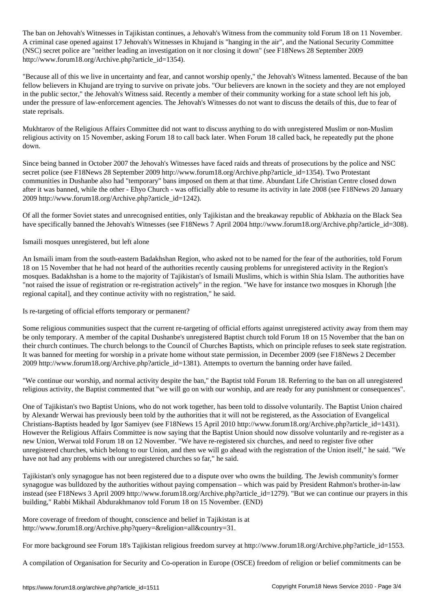The ban on Jehovah's Witnesses in Tajikistan continues, a Jehovah's Witness from the community told Forum 18 on 11 November. A criminal case opened against 17 Jehovah's Witnesses in Khujand is "hanging in the air", and the National Security Committee (NSC) secret police are "neither leading an investigation on it nor closing it down" (see F18News 28 September 2009 http://www.forum18.org/Archive.php?article\_id=1354).

"Because all of this we live in uncertainty and fear, and cannot worship openly," the Jehovah's Witness lamented. Because of the ban fellow believers in Khujand are trying to survive on private jobs. "Our believers are known in the society and they are not employed in the public sector," the Jehovah's Witness said. Recently a member of their community working for a state school left his job, under the pressure of law-enforcement agencies. The Jehovah's Witnesses do not want to discuss the details of this, due to fear of state reprisals.

Mukhtarov of the Religious Affairs Committee did not want to discuss anything to do with unregistered Muslim or non-Muslim religious activity on 15 November, asking Forum 18 to call back later. When Forum 18 called back, he repeatedly put the phone down.

Since being banned in October 2007 the Jehovah's Witnesses have faced raids and threats of prosecutions by the police and NSC secret police (see F18News 28 September 2009 http://www.forum18.org/Archive.php?article\_id=1354). Two Protestant communities in Dushanbe also had "temporary" bans imposed on them at that time. Abundant Life Christian Centre closed down after it was banned, while the other - Ehyo Church - was officially able to resume its activity in late 2008 (see F18News 20 January 2009 http://www.forum18.org/Archive.php?article\_id=1242).

Of all the former Soviet states and unrecognised entities, only Tajikistan and the breakaway republic of Abkhazia on the Black Sea have specifically banned the Jehovah's Witnesses (see F18News 7 April 2004 http://www.forum18.org/Archive.php?article\_id=308).

Ismaili mosques unregistered, but left alone

An Ismaili imam from the south-eastern Badakhshan Region, who asked not to be named for the fear of the authorities, told Forum 18 on 15 November that he had not heard of the authorities recently causing problems for unregistered activity in the Region's mosques. Badakhshan is a home to the majority of Tajikistan's of Ismaili Muslims, which is within Shia Islam. The authorities have "not raised the issue of registration or re-registration actively" in the region. "We have for instance two mosques in Khorugh [the regional capital], and they continue activity with no registration," he said.

Is re-targeting of official efforts temporary or permanent?

Some religious communities suspect that the current re-targeting of official efforts against unregistered activity away from them may be only temporary. A member of the capital Dushanbe's unregistered Baptist church told Forum 18 on 15 November that the ban on their church continues. The church belongs to the Council of Churches Baptists, which on principle refuses to seek state registration. It was banned for meeting for worship in a private home without state permission, in December 2009 (see F18News 2 December 2009 http://www.forum18.org/Archive.php?article\_id=1381). Attempts to overturn the banning order have failed.

"We continue our worship, and normal activity despite the ban," the Baptist told Forum 18. Referring to the ban on all unregistered religious activity, the Baptist commented that "we will go on with our worship, and are ready for any punishment or consequences".

One of Tajikistan's two Baptist Unions, who do not work together, has been told to dissolve voluntarily. The Baptist Union chaired by Alexandr Werwai has previously been told by the authorities that it will not be registered, as the Association of Evangelical Christians-Baptists headed by Igor Samiyev (see F18News 15 April 2010 http://www.forum18.org/Archive.php?article\_id=1431). However the Religious Affairs Committee is now saying that the Baptist Union should now dissolve voluntarily and re-register as a new Union, Werwai told Forum 18 on 12 November. "We have re-registered six churches, and need to register five other unregistered churches, which belong to our Union, and then we will go ahead with the registration of the Union itself," he said. "We have not had any problems with our unregistered churches so far," he said.

Tajikistan's only synagogue has not been registered due to a dispute over who owns the building. The Jewish community's former synagogue was bulldozed by the authorities without paying compensation – which was paid by President Rahmon's brother-in-law instead (see F18News 3 April 2009 http://www.forum18.org/Archive.php?article\_id=1279). "But we can continue our prayers in this building," Rabbi Mikhail Abdurakhmanov told Forum 18 on 15 November. (END)

More coverage of freedom of thought, conscience and belief in Tajikistan is at http://www.forum18.org/Archive.php?query=&religion=all&country=31.

For more background see Forum 18's Tajikistan religious freedom survey at http://www.forum18.org/Archive.php?article\_id=1553.

A compilation of Organisation for Security and Co-operation in Europe (OSCE) freedom of religion or belief commitments can be